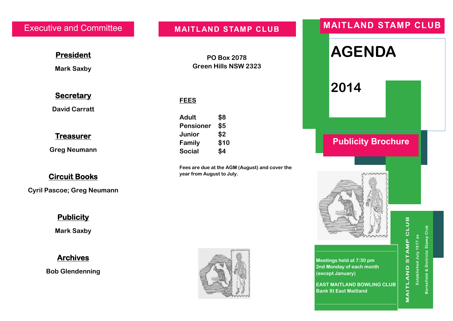**President** 

**Mark Saxby** 

**PO Box 2078 Green Hills NSW 2323** 

**Fees are due at the AGM (August) and cover the** 

 **FEES**

 **Adult \$8 Pensioner \$5 Junior \$2 Family \$10 Social \$4** 

 **year from August to July.** 

#### **Secretary**

**David Carratt** 

#### **Treasurer**

**Greg Neumann** 

### **Circuit Books**

**Cyril Pascoe; Greg Neumann** 

### **Publicity**

**Mark Saxby** 

# **Archives**

**Bob Glendenning** 



# Executive and Committee **MAITLAND STAMP CLUB MAITLAND STAMP CLUB**